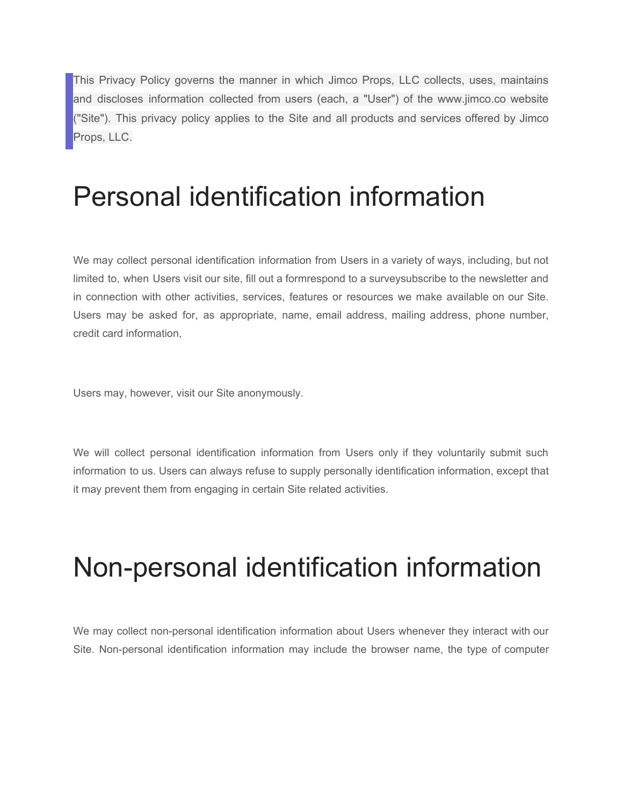This Privacy Policy governs the manner in which Jimco Props, LLC collects, uses, maintains and discloses information collected from users (each, a "User") of the www.jimco.co website ("Site"). This privacy policy applies to the Site and all products and services offered by Jimco Props, LLC.

## Personal identification information

We may collect personal identification information from Users in a variety of ways, including, but not limited to, when Users visit our site, fill out a formrespond to a surveysubscribe to the newsletter and in connection with other activities, services, features or resources we make available on our Site. Users may be asked for, as appropriate, name, email address, mailing address, phone number, credit card information,

Users may, however, visit our Site anonymously.

We will collect personal identification information from Users only if they voluntarily submit such information to us. Users can always refuse to supply personally identification information, except that it may prevent them from engaging in certain Site related activities.

# Non-personal identification information

We may collect non-personal identification information about Users whenever they interact with our Site. Non-personal identification information may include the browser name, the type of computer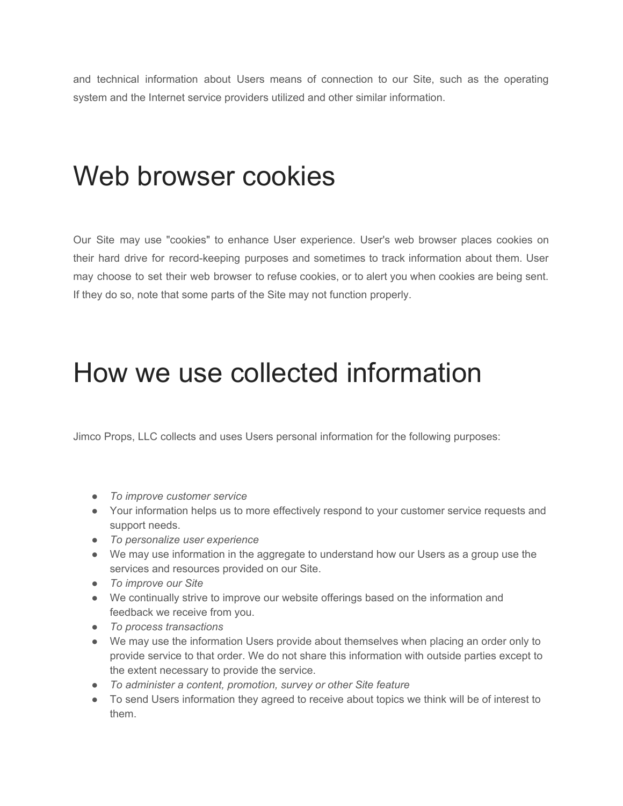and technical information about Users means of connection to our Site, such as the operating system and the Internet service providers utilized and other similar information.

## Web browser cookies

Our Site may use "cookies" to enhance User experience. User's web browser places cookies on their hard drive for record-keeping purposes and sometimes to track information about them. User may choose to set their web browser to refuse cookies, or to alert you when cookies are being sent. If they do so, note that some parts of the Site may not function properly.

### How we use collected information

Jimco Props, LLC collects and uses Users personal information for the following purposes:

- *To improve customer service*
- Your information helps us to more effectively respond to your customer service requests and support needs.
- *To personalize user experience*
- We may use information in the aggregate to understand how our Users as a group use the services and resources provided on our Site.
- *To improve our Site*
- We continually strive to improve our website offerings based on the information and feedback we receive from you.
- *To process transactions*
- We may use the information Users provide about themselves when placing an order only to provide service to that order. We do not share this information with outside parties except to the extent necessary to provide the service.
- *To administer a content, promotion, survey or other Site feature*
- To send Users information they agreed to receive about topics we think will be of interest to them.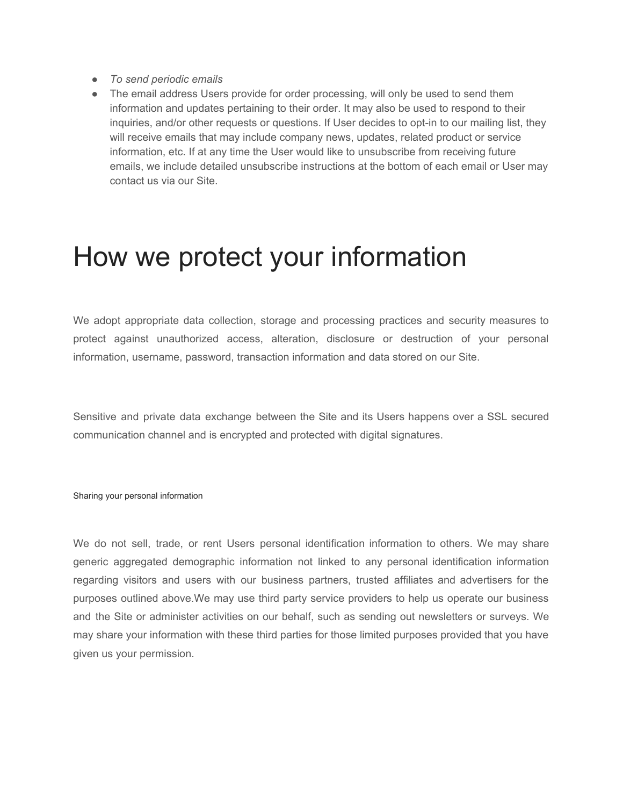- *To send periodic emails*
- The email address Users provide for order processing, will only be used to send them information and updates pertaining to their order. It may also be used to respond to their inquiries, and/or other requests or questions. If User decides to opt-in to our mailing list, they will receive emails that may include company news, updates, related product or service information, etc. If at any time the User would like to unsubscribe from receiving future emails, we include detailed unsubscribe instructions at the bottom of each email or User may contact us via our Site.

#### How we protect your information

We adopt appropriate data collection, storage and processing practices and security measures to protect against unauthorized access, alteration, disclosure or destruction of your personal information, username, password, transaction information and data stored on our Site.

Sensitive and private data exchange between the Site and its Users happens over a SSL secured communication channel and is encrypted and protected with digital signatures.

Sharing your personal information

We do not sell, trade, or rent Users personal identification information to others. We may share generic aggregated demographic information not linked to any personal identification information regarding visitors and users with our business partners, trusted affiliates and advertisers for the purposes outlined above.We may use third party service providers to help us operate our business and the Site or administer activities on our behalf, such as sending out newsletters or surveys. We may share your information with these third parties for those limited purposes provided that you have given us your permission.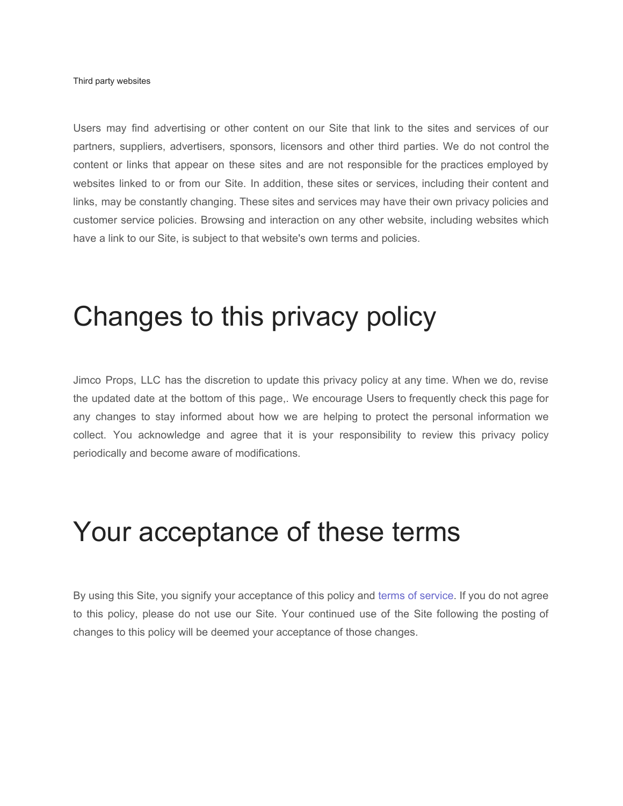Third party websites

Users may find advertising or other content on our Site that link to the sites and services of our partners, suppliers, advertisers, sponsors, licensors and other third parties. We do not control the content or links that appear on these sites and are not responsible for the practices employed by websites linked to or from our Site. In addition, these sites or services, including their content and links, may be constantly changing. These sites and services may have their own privacy policies and customer service policies. Browsing and interaction on any other website, including websites which have a link to our Site, is subject to that website's own terms and policies.

## Changes to this privacy policy

Jimco Props, LLC has the discretion to update this privacy policy at any time. When we do, revise the updated date at the bottom of this page,. We encourage Users to frequently check this page for any changes to stay informed about how we are helping to protect the personal information we collect. You acknowledge and agree that it is your responsibility to review this privacy policy periodically and become aware of modifications.

#### Your acceptance of these terms

By using this Site, you signify your acceptance of this policy and terms of service. If you do not agree to this policy, please do not use our Site. Your continued use of the Site following the posting of changes to this policy will be deemed your acceptance of those changes.